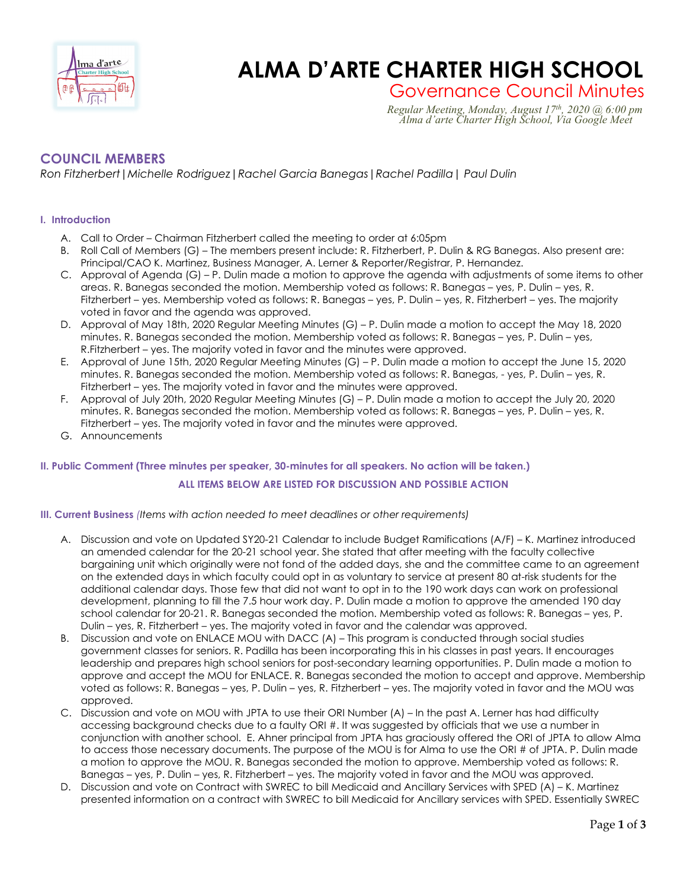

# **Enged Zart Computer ALMA D'ARTE CHARTER HIGH SCHOOL**

Governance Council Minutes *Regular Meeting, Monday, August 17th, 2020 @ 6:00 pm Alma d'arte Charter High School, Via Google Meet*

## **COUNCIL MEMBERS**

*Ron Fitzherbert|Michelle Rodriguez|Rachel Garcia Banegas|Rachel Padilla| Paul Dulin*

## **I. Introduction**

- A. Call to Order Chairman Fitzherbert called the meeting to order at 6:05pm
- B. Roll Call of Members (G) The members present include: R. Fitzherbert, P. Dulin & RG Banegas. Also present are: Principal/CAO K. Martinez, Business Manager, A. Lerner & Reporter/Registrar, P. Hernandez.
- C. Approval of Agenda (G) P. Dulin made a motion to approve the agenda with adjustments of some items to other areas. R. Banegas seconded the motion. Membership voted as follows: R. Banegas – yes, P. Dulin – yes, R. Fitzherbert – yes. Membership voted as follows: R. Banegas – yes, P. Dulin – yes, R. Fitzherbert – yes. The majority voted in favor and the agenda was approved.
- D. Approval of May 18th, 2020 Regular Meeting Minutes (G) P. Dulin made a motion to accept the May 18, 2020 minutes. R. Banegas seconded the motion. Membership voted as follows: R. Banegas – yes, P. Dulin – yes, R.Fitzherbert – yes. The majority voted in favor and the minutes were approved.
- E. Approval of June 15th, 2020 Regular Meeting Minutes (G) P. Dulin made a motion to accept the June 15, 2020 minutes. R. Banegas seconded the motion. Membership voted as follows: R. Banegas, - yes, P. Dulin – yes, R. Fitzherbert – yes. The majority voted in favor and the minutes were approved.
- F. Approval of July 20th, 2020 Regular Meeting Minutes (G) P. Dulin made a motion to accept the July 20, 2020 minutes. R. Banegas seconded the motion. Membership voted as follows: R. Banegas – yes, P. Dulin – yes, R. Fitzherbert – yes. The majority voted in favor and the minutes were approved.
- G. Announcements

## **II. Public Comment (Three minutes per speaker, 30-minutes for all speakers. No action will be taken.) ALL ITEMS BELOW ARE LISTED FOR DISCUSSION AND POSSIBLE ACTION**

### **III. Current Business** *(Items with action needed to meet deadlines or other requirements)*

- A. Discussion and vote on Updated SY20-21 Calendar to include Budget Ramifications (A/F) K. Martinez introduced an amended calendar for the 20-21 school year. She stated that after meeting with the faculty collective bargaining unit which originally were not fond of the added days, she and the committee came to an agreement on the extended days in which faculty could opt in as voluntary to service at present 80 at-risk students for the additional calendar days. Those few that did not want to opt in to the 190 work days can work on professional development, planning to fill the 7.5 hour work day. P. Dulin made a motion to approve the amended 190 day school calendar for 20-21. R. Banegas seconded the motion. Membership voted as follows: R. Banegas – yes, P. Dulin – yes, R. Fitzherbert – yes. The majority voted in favor and the calendar was approved.
- B. Discussion and vote on ENLACE MOU with DACC (A) This program is conducted through social studies government classes for seniors. R. Padilla has been incorporating this in his classes in past years. It encourages leadership and prepares high school seniors for post-secondary learning opportunities. P. Dulin made a motion to approve and accept the MOU for ENLACE. R. Banegas seconded the motion to accept and approve. Membership voted as follows: R. Banegas – yes, P. Dulin – yes, R. Fitzherbert – yes. The majority voted in favor and the MOU was approved.
- C. Discussion and vote on MOU with JPTA to use their ORI Number (A) In the past A. Lerner has had difficulty accessing background checks due to a faulty ORI #. It was suggested by officials that we use a number in conjunction with another school. E. Ahner principal from JPTA has graciously offered the ORI of JPTA to allow Alma to access those necessary documents. The purpose of the MOU is for Alma to use the ORI # of JPTA. P. Dulin made a motion to approve the MOU. R. Banegas seconded the motion to approve. Membership voted as follows: R. Banegas – yes, P. Dulin – yes, R. Fitzherbert – yes. The majority voted in favor and the MOU was approved.
- D. Discussion and vote on Contract with SWREC to bill Medicaid and Ancillary Services with SPED (A) K. Martinez presented information on a contract with SWREC to bill Medicaid for Ancillary services with SPED. Essentially SWREC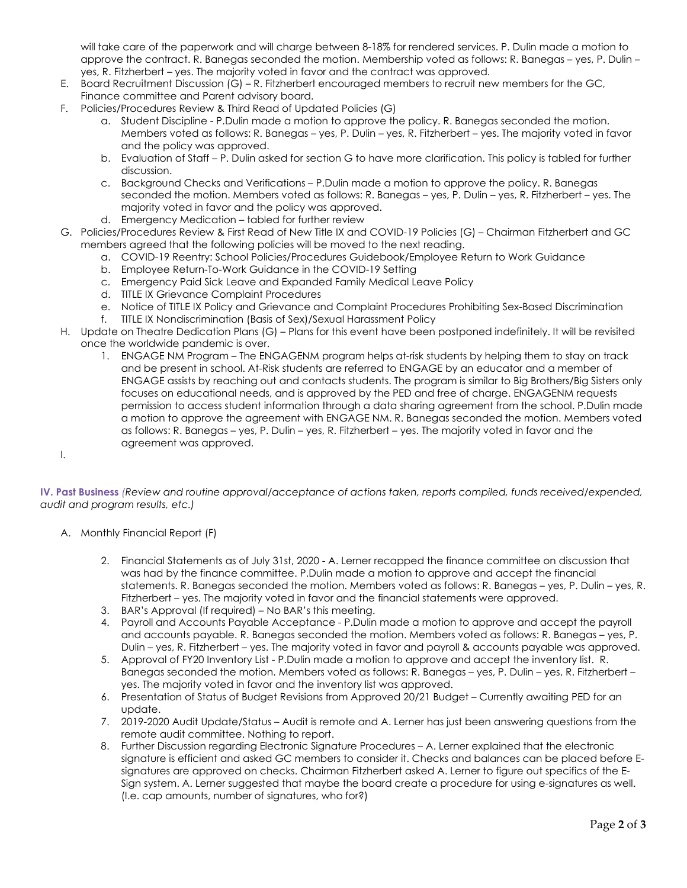will take care of the paperwork and will charge between 8-18% for rendered services. P. Dulin made a motion to approve the contract. R. Banegas seconded the motion. Membership voted as follows: R. Banegas – yes, P. Dulin – yes, R. Fitzherbert – yes. The majority voted in favor and the contract was approved.

- E. Board Recruitment Discussion (G) R. Fitzherbert encouraged members to recruit new members for the GC, Finance committee and Parent advisory board.
- F. Policies/Procedures Review & Third Read of Updated Policies (G)
	- a. Student Discipline P.Dulin made a motion to approve the policy. R. Banegas seconded the motion. Members voted as follows: R. Banegas – yes, P. Dulin – yes, R. Fitzherbert – yes. The majority voted in favor and the policy was approved.
	- b. Evaluation of Staff P. Dulin asked for section G to have more clarification. This policy is tabled for further discussion.
	- c. Background Checks and Verifications P.Dulin made a motion to approve the policy. R. Banegas seconded the motion. Members voted as follows: R. Banegas – yes, P. Dulin – yes, R. Fitzherbert – yes. The majority voted in favor and the policy was approved.
	- d. Emergency Medication tabled for further review
- G. Policies/Procedures Review & First Read of New Title IX and COVID-19 Policies (G) Chairman Fitzherbert and GC members agreed that the following policies will be moved to the next reading.
	- a. COVID-19 Reentry: School Policies/Procedures Guidebook/Employee Return to Work Guidance
	- b. Employee Return-To-Work Guidance in the COVID-19 Setting
	- c. Emergency Paid Sick Leave and Expanded Family Medical Leave Policy
	- d. TITLE IX Grievance Complaint Procedures
	- e. Notice of TITLE IX Policy and Grievance and Complaint Procedures Prohibiting Sex-Based Discrimination
	- f. TITLE IX Nondiscrimination (Basis of Sex)/Sexual Harassment Policy
- H. Update on Theatre Dedication Plans (G) Plans for this event have been postponed indefinitely. It will be revisited once the worldwide pandemic is over.
	- 1. ENGAGE NM Program The ENGAGENM program helps at-risk students by helping them to stay on track and be present in school. At-Risk students are referred to ENGAGE by an educator and a member of ENGAGE assists by reaching out and contacts students. The program is similar to Big Brothers/Big Sisters only focuses on educational needs, and is approved by the PED and free of charge. ENGAGENM requests permission to access student information through a data sharing agreement from the school. P.Dulin made a motion to approve the agreement with ENGAGE NM. R. Banegas seconded the motion. Members voted as follows: R. Banegas – yes, P. Dulin – yes, R. Fitzherbert – yes. The majority voted in favor and the agreement was approved.

I.

**IV. Past Business** *(Review and routine approval/acceptance of actions taken, reports compiled, funds received/expended, audit and program results, etc.)*

- A. Monthly Financial Report (F)
	- 2. Financial Statements as of July 31st, 2020 A. Lerner recapped the finance committee on discussion that was had by the finance committee. P.Dulin made a motion to approve and accept the financial statements. R. Banegas seconded the motion. Members voted as follows: R. Banegas – yes, P. Dulin – yes, R. Fitzherbert – yes. The majority voted in favor and the financial statements were approved.
	- 3. BAR's Approval (If required) No BAR's this meeting.
	- 4. Payroll and Accounts Payable Acceptance P.Dulin made a motion to approve and accept the payroll and accounts payable. R. Banegas seconded the motion. Members voted as follows: R. Banegas – yes, P. Dulin – yes, R. Fitzherbert – yes. The majority voted in favor and payroll & accounts payable was approved.
	- 5. Approval of FY20 Inventory List P.Dulin made a motion to approve and accept the inventory list. R. Banegas seconded the motion. Members voted as follows: R. Banegas – yes, P. Dulin – yes, R. Fitzherbert – yes. The majority voted in favor and the inventory list was approved.
	- 6. Presentation of Status of Budget Revisions from Approved 20/21 Budget Currently awaiting PED for an update.
	- 7. 2019-2020 Audit Update/Status Audit is remote and A. Lerner has just been answering questions from the remote audit committee. Nothing to report.
	- 8. Further Discussion regarding Electronic Signature Procedures A. Lerner explained that the electronic signature is efficient and asked GC members to consider it. Checks and balances can be placed before Esignatures are approved on checks. Chairman Fitzherbert asked A. Lerner to figure out specifics of the E-Sign system. A. Lerner suggested that maybe the board create a procedure for using e-signatures as well. (I.e. cap amounts, number of signatures, who for?)